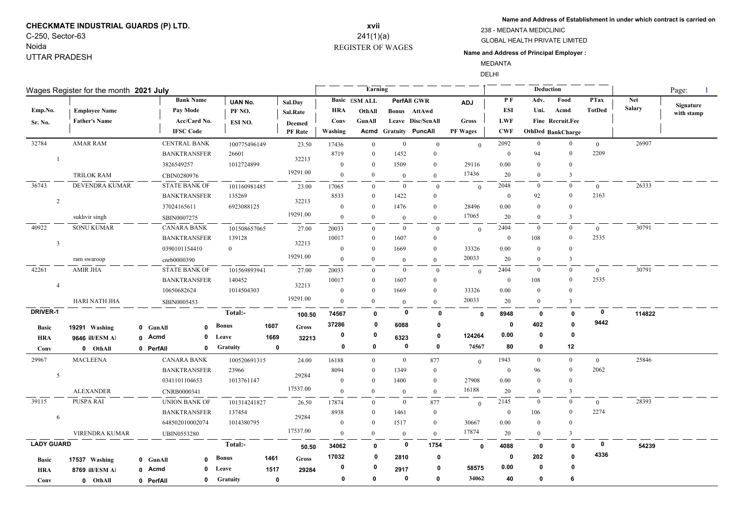# **CHECKMATE INDUSTRIAL GUARDS (P) LTD.** C-250, Sector-63

Noida UTTAR PRADESH

## REGISTER OF WAGES **xvii** 241(1)(a)

**Name and Address of Establishment in under which contract is carried on**

GLOBAL HEALTH PRIVATE LIMITED 238 - MEDANTA MEDICLINIC

**Name and Address of Principal Employer :**

MEDANTA

DELHI

| Wages Register for the month 2021 July |                       |             |                      |                 |             |                |                | Earning              |                |                       |                 |                | Page:            |                          |                |               |            |
|----------------------------------------|-----------------------|-------------|----------------------|-----------------|-------------|----------------|----------------|----------------------|----------------|-----------------------|-----------------|----------------|------------------|--------------------------|----------------|---------------|------------|
|                                        |                       |             | <b>Bank Name</b>     | <b>UAN No.</b>  |             | Sal.Day        |                | <b>Basic</b> ESM ALL |                | <b>PerfAll GWR</b>    | <b>ADJ</b>      | P F            | Adv.             | Food                     | <b>PTax</b>    | <b>Net</b>    | Signature  |
| Emp.No.                                | <b>Employee Name</b>  |             | Pay Mode             | PF NO.          |             | Sal.Rate       | HRA            | OthAll               |                | Bonus AttAwd          |                 | ESI            | Uni.             | Acmd                     | <b>TotDed</b>  | <b>Salary</b> | with stamp |
| Sr. No.                                | <b>Father's Name</b>  |             | Acc/Card No.         | ESI NO.         |             | <b>Deemed</b>  | Conv           | GunAll               |                | Leave Disc/SenAll     | <b>Gross</b>    | <b>LWF</b>     |                  | Fine Recruit.Fee         |                |               |            |
|                                        |                       |             | <b>IFSC Code</b>     |                 |             | <b>PF</b> Rate | Washing        |                      |                | Acmd Gratuity PuncAll | <b>PF Wages</b> | <b>CWF</b>     |                  | <b>OthDed BankCharge</b> |                |               |            |
| 32784                                  | <b>AMAR RAM</b>       |             | <b>CENTRAL BANK</b>  | 100775496149    |             | 23.50          | 17436          | $\overline{0}$       | $\bf{0}$       | $\overline{0}$        | $\mathbf{0}$    | 2092           | $\overline{0}$   | $\overline{0}$           | $\overline{0}$ | 26907         |            |
|                                        |                       |             | <b>BANKTRANSFER</b>  | 26601           |             |                | 8719           | $\theta$             | 1452           | $\theta$              |                 | $\theta$       | 94               | $\mathbf{0}$             | 2209           |               |            |
| $\mathbf{1}$                           |                       |             | 3826549257           | 1012724899      |             | 32213          | $\mathbf{0}$   | $\theta$             | 1509           | $\bf{0}$              | 29116           | 0.00           | $\theta$         | $\bf{0}$                 |                |               |            |
|                                        | <b>TRILOK RAM</b>     |             | CBIN0280976          |                 |             | 19291.00       | $\mathbf{0}$   | $\overline{0}$       | $\overline{0}$ | $\Omega$              | 17436           | 20             | $\mathbf{0}$     | $\overline{\mathbf{3}}$  |                |               |            |
| 36743                                  | <b>DEVENDRA KUMAR</b> |             | <b>STATE BANK OF</b> | 101160981485    |             | 23.00          | 17065          | $\overline{0}$       | $\mathbf{0}$   | $\overline{0}$        | $\mathbf{0}$    | 2048           | $\bf{0}$         | $\overline{0}$           | $\theta$       | 26333         |            |
|                                        |                       |             | <b>BANKTRANSFER</b>  | 135269          |             |                | 8533           | $\mathbf{0}$         | 1422           | $\overline{0}$        |                 | $\overline{0}$ | 92               | $\bf{0}$                 | 2163           |               |            |
| 2                                      |                       |             | 37024165611          | 6923088125      |             | 32213          | $\mathbf{0}$   | $\theta$             | 1476           | $\overline{0}$        | 28496           | 0.00           | $\theta$         | $\mathbf{0}$             |                |               |            |
|                                        | sukhvir singh         |             | SBIN0007275          |                 |             | 19291.00       | $\theta$       | $\overline{0}$       | $\overline{0}$ | $\Omega$              | 17065           | 20             | $\overline{0}$   | 3                        |                |               |            |
| 40922                                  | <b>SONU KUMAR</b>     |             | <b>CANARA BANK</b>   | 101508657065    |             | 27.00          | 20033          | $\overline{0}$       | $\bf{0}$       | $\overline{0}$        | $\mathbf{0}$    | 2404           | $\overline{0}$   | $\overline{0}$           | $\mathbf{0}$   | 30791         |            |
|                                        |                       |             | <b>BANKTRANSFER</b>  | 139128          |             |                | 10017          | $\theta$             | 1607           | $\mathbf{0}$          |                 | $\overline{0}$ | 108              | $\boldsymbol{0}$         | 2535           |               |            |
| $\overline{\mathbf{3}}$                |                       |             | 0390101154410        | $\overline{0}$  |             | 32213          | $\theta$       | $\theta$             | 1669           | $\mathbf{0}$          | 33326           | 0.00           | $\overline{0}$   | $\bf{0}$                 |                |               |            |
|                                        | ram swaroop           |             | cnrb0000390          |                 |             | 19291.00       | $\Omega$       | $\theta$             | $\overline{0}$ | $\Omega$              | 20033           | 20             | $\overline{0}$   | $\overline{3}$           |                |               |            |
| 42261                                  | <b>AMIR JHA</b>       |             | <b>STATE BANK OF</b> | 101569893941    |             | 27.00          | 20033          | $\overline{0}$       | $\bf{0}$       | $\mathbf{0}$          | $\mathbf{0}$    | 2404           | $\overline{0}$   | $\bf{0}$                 | $\overline{0}$ | 30791         |            |
|                                        |                       |             | <b>BANKTRANSFER</b>  | 140452          |             |                | 10017          | $\overline{0}$       | 1607           | $\theta$              |                 | $\Omega$       | 108              | $\bf{0}$                 | 2535           |               |            |
| $\overline{4}$                         |                       |             | 10650682624          | 1014504303      |             | 32213          | $\overline{0}$ | $\theta$             | 1669           | $\mathbf{0}$          | 33326           | 0.00           | $\bf{0}$         | $\bf{0}$                 |                |               |            |
|                                        | <b>HARI NATH JHA</b>  |             | SBIN0005453          |                 |             | 19291.00       | $\mathbf{0}$   | $\overline{0}$       | $\overline{0}$ | $\mathbf{0}$          | 20033           | 20             | $\overline{0}$   | 3                        |                |               |            |
| <b>DRIVER-1</b>                        |                       |             |                      | Total:-         |             | 100.50         | 74567          | $\mathbf{0}$         | $\mathbf 0$    | 0                     | $\mathbf 0$     | 8948           | 0                | $\mathbf 0$              | $\mathbf 0$    | 114822        |            |
| <b>Basic</b>                           | 19291 Washing         | 0 GunAll    | $\Omega$             | Bonus           | 1607        | <b>Gross</b>   | 37286          | 0                    | 6088           | 0                     |                 | 0              | 402              | $\mathbf 0$              | 9442           |               |            |
| <b>HRA</b>                             | 9646 ill/ESM Al       | 0 Acmd      | $\bf{0}$             | Leave           | 1669        | 32213          | 0              | 0                    | 6323           | 0                     | 124264          | 0.00           | 0                | $\mathbf 0$              |                |               |            |
| Conv                                   | 0 OthAll              | 0 PerfAll   | $\mathbf{0}$         | <b>Gratuity</b> | $\mathbf 0$ |                | 0              | 0                    | $\mathbf 0$    | 0                     | 74567           | 80             | 0                | 12                       |                |               |            |
| 29967                                  | <b>MACLEENA</b>       |             | <b>CANARA BANK</b>   | 100520691315    |             | 24.00          | 16188          | $\overline{0}$       | $\overline{0}$ | 877                   | $\mathbf{0}$    | 1943           | $\bf{0}$         | $\bf{0}$                 | $\mathbf{0}$   | 25846         |            |
|                                        |                       |             | <b>BANKTRANSFER</b>  | 23966           |             |                | 8094           | $\overline{0}$       | 1349           | $\overline{0}$        |                 | $\theta$       | 96               | $\mathbf{0}$             | 2062           |               |            |
| 5                                      |                       |             | 0341101104653        | 1013761147      |             | 29284          | $\theta$       | $\overline{0}$       | 1400           | $\overline{0}$        | 27908           | 0.00           | $\theta$         | $\mathbf{0}$             |                |               |            |
|                                        | <b>ALEXANDER</b>      | CNRB0000341 |                      |                 |             | 17537.00       | $\theta$       | $\theta$             | $\mathbf{0}$   | $\mathbf{0}$          | 16188           | 20             | $\boldsymbol{0}$ | $\overline{\mathbf{3}}$  |                |               |            |
| 39115                                  | PUSPA RAI             |             | <b>UNION BANK OF</b> | 101314241827    |             | 26.50          | 17874          | $\theta$             | $\overline{0}$ | 877                   |                 | 2145           | $\overline{0}$   | $\bf{0}$                 | $\overline{0}$ | 28393         |            |
|                                        |                       |             | <b>BANKTRANSFER</b>  | 137454          |             |                | 8938           | $\mathbf{0}$         | 1461           | $\boldsymbol{0}$      | $\theta$        | $\overline{0}$ | 106              | $\bf{0}$                 | 2274           |               |            |
| 6                                      |                       |             | 648502010002074      | 1014380795      |             | 29284          | $\theta$       | $\theta$             | 1517           | $\theta$              | 30667           | 0.00           | $\bf{0}$         | $\overline{0}$           |                |               |            |
|                                        | VIRENDRA KUMAR        |             | <b>UBIN0553280</b>   |                 |             | 17537.00       | $\mathbf{0}$   | $\mathbf{0}$         | $\mathbf{0}$   | $\mathbf{0}$          | 17874           | 20             | $\mathbf{0}$     | 3                        |                |               |            |
| <b>LADY GUARD</b>                      |                       |             |                      | Total:-         |             |                | 34062          | $\mathbf{0}$         | $\mathbf 0$    | 1754                  | $\mathbf 0$     | 4088           | 0                | $\mathbf 0$              | $\bf{0}$       | 54239         |            |
|                                        |                       |             |                      |                 |             | 50.50          | 17032          | 0                    | 2810           | $\mathbf{0}$          |                 | 0              | 202              | 0                        | 4336           |               |            |
| <b>Basic</b>                           | 17537 Washing         | 0 GunAll    | $\mathbf{r}$         | <b>Bonus</b>    | 1461        | Gross          | 0              | 0                    |                | $\mathbf{0}$          | 58575           | 0.00           | $\bf{0}$         | 0                        |                |               |            |
| <b>HRA</b>                             | 8769 ill/ESM Al       | 0 Acmd      | 0                    | Leave           | 1517        | 29284          |                |                      | 2917           |                       |                 |                |                  |                          |                |               |            |
| Conv                                   | 0 OthAll              | 0 PerfAll   | $\mathbf{0}$         | <b>Gratuity</b> | $\mathbf 0$ |                | $\mathbf 0$    | $\mathbf{0}$         | $\mathbf 0$    | $\mathbf{0}$          | 34062           | 40             | 0                | 6                        |                |               |            |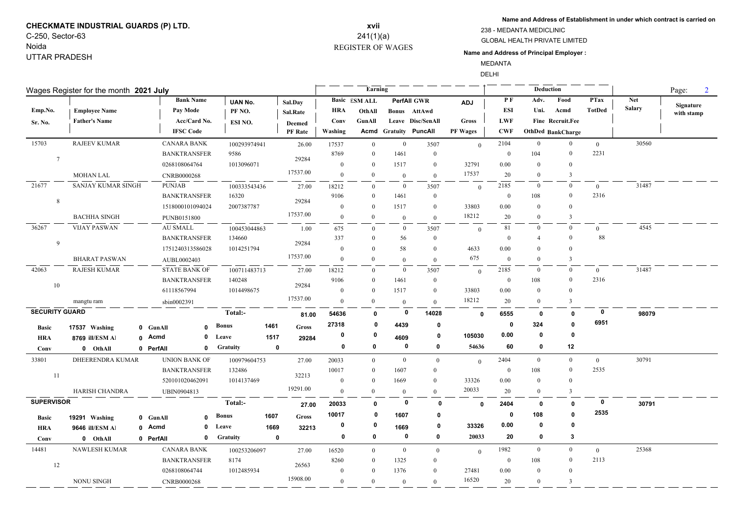# **CHECKMATE INDUSTRIAL GUARDS (P) LTD.** C-250, Sector-63

### Noida UTTAR PRADESH

## REGISTER OF WAGES **xvii** 241(1)(a)

**Name and Address of Establishment in under which contract is carried on**

#### GLOBAL HEALTH PRIVATE LIMITED 238 - MEDANTA MEDICLINIC

### **Name and Address of Principal Employer :**

MEDANTA DELHI

| PF<br><b>Net</b><br><b>Bank Name</b><br>Adv.<br>Food<br><b>PTax</b><br><b>Basic</b> ESM ALL<br><b>PerfAll GWR</b><br>UAN No.<br>Sal.Day<br><b>ADJ</b><br>Signature<br><b>Salary</b><br><b>TotDed</b><br>Pay Mode<br>ESI<br>Acmd<br>Emp.No.<br><b>HRA</b><br>Uni.<br><b>Employee Name</b><br>PF NO.<br>OthAll<br>Bonus AttAwd<br>Sal.Rate<br>with stamp<br>Acc/Card No.<br><b>LWF</b><br>Fine Recruit.Fee<br><b>Father's Name</b><br>Leave Disc/SenAll<br><b>Gross</b><br>Conv<br>GunAll<br>Sr. No.<br>ESI NO.<br><b>Deemed</b><br><b>IFSC</b> Code<br><b>Acmd Gratuity PuncAll</b><br><b>CWF</b><br>Washing<br><b>PF Wages</b><br><b>OthDed BankCharge</b><br><b>PF</b> Rate<br>15703<br><b>RAJEEV KUMAR</b><br>$\overline{0}$<br>30560<br><b>CANARA BANK</b><br>$\overline{0}$<br>2104<br>$\overline{0}$<br>100293974941<br>26.00<br>3507<br>$\overline{0}$<br>17537<br>$\overline{0}$<br>$\theta$<br>2231<br>$\overline{0}$<br>9586<br>8769<br>1461<br>104<br><b>BANKTRANSFER</b><br>$\theta$<br>$\mathbf{0}$<br>$\bf{0}$<br>$7\phantom{.0}$<br>29284<br>1013096071<br>32791<br>0268108064764<br>$\overline{0}$<br>1517<br>$\boldsymbol{0}$<br>0.00<br>$\mathbf{0}$<br>$\mathbf{0}$<br>$\theta$<br>17537.00<br>17537<br><b>MOHAN LAL</b><br>20<br>$\overline{3}$<br>$\overline{0}$<br>$\overline{0}$<br>$\theta$<br>$\overline{0}$<br>CNRB0000268<br>$\theta$<br>21677<br>SANJAY KUMAR SINGH<br><b>PUNJAB</b><br>31487<br>2185<br>$\mathbf{0}$<br>$\bf{0}$<br>$\bf{0}$<br>100333543436<br>3507<br>$\mathbf{0}$<br>27.00<br>18212<br>$\theta$<br>$\theta$<br>2316<br><b>BANKTRANSFER</b><br>16320<br>9106<br>1461<br>$\boldsymbol{0}$<br>$\mathbf{0}$<br>108<br>$\bf{0}$<br>$\mathbf{0}$<br>8<br>29284<br>33803<br>1518000101094024<br>2007387787<br>$\mathbf{0}$<br>1517<br>$\boldsymbol{0}$<br>0.00<br>$\Omega$<br>$\Omega$<br>$\theta$<br>17537.00<br>18212<br>$\overline{0}$<br><b>BACHHA SINGH</b><br>$\overline{0}$<br>20<br>3<br>$\Omega$<br>PUNB0151800<br>$\theta$<br>$\mathbf{0}$<br>36267<br><b>VIJAY PASWAN</b><br><b>AU SMALL</b><br>81<br>4545<br>100453044863<br>$\mathbf{0}$<br>1.00<br>675<br>$\bf{0}$<br>3507<br>$\bf{0}$<br>$\bf{0}$<br>$\boldsymbol{0}$<br>$\theta$<br>88<br>$\Omega$<br><b>BANKTRANSFER</b><br>134660<br>337<br>56<br>$\theta$<br>$\theta$<br>$\mathbf{0}$<br>$\overline{4}$<br>9<br>29284<br>1014251794<br>58<br>4633<br>0.00<br>1751240313586028<br>$\overline{0}$<br>$\theta$<br>$\theta$<br>$\Omega$<br>$\Omega$<br>17537.00<br>675<br><b>BHARAT PASWAN</b><br>$\mathbf{0}$<br>$\mathbf{0}$<br>$\mathbf{0}$<br>$\Omega$<br>$\overline{3}$<br>AUBL0002403<br>$\overline{0}$<br>$\mathbf{0}$<br><b>RAJESH KUMAR</b><br>31487<br>42063<br>2185<br><b>STATE BANK OF</b><br>$\overline{0}$<br>$\overline{0}$<br>$\mathbf{0}$<br>$\overline{0}$<br>3507<br>100711483713<br>27.00<br>18212<br>$\theta$<br>$\Omega$<br>2316<br><b>BANKTRANSFER</b><br>140248<br>9106<br>1461<br>$\boldsymbol{0}$<br>$\bf{0}$<br>108<br>$\theta$<br>$\theta$<br>10<br>29284<br>61118567994<br>1014498675<br>33803<br>$\boldsymbol{0}$<br>$\theta$<br>1517<br>$\boldsymbol{0}$<br>0.00<br>$\Omega$<br>$\Omega$<br>17537.00<br>18212<br>$\overline{0}$<br>$\overline{0}$<br>20<br>3<br>$\overline{0}$<br>mangtu ram<br>sbin0002391<br>$\overline{0}$<br>$\theta$<br><b>SECURITY GUARD</b><br>0<br>Total:-<br>$\mathbf 0$<br>14028<br>54636<br>98079<br>0<br>6555<br>$\mathbf 0$<br>0<br>$\mathbf{0}$<br>81.00<br>6951<br>27318<br>324<br>$\mathbf{0}$<br>4439<br>0<br>0<br>$\mathbf 0$<br><b>Bonus</b><br>1461<br>Gross<br><b>Basic</b><br>17537 Washing<br>0 GunAll<br>$\mathbf{0}$<br>0.00<br>0<br>$\mathbf{0}$<br>$\bf{0}$<br>0<br>105030<br>0<br>0 Acmd<br>Leave<br>1517<br>4609<br>0<br>29284<br><b>HRA</b><br>8769 ill/ESM Al<br>0<br>54636<br>0<br>0<br>0<br>60<br>0<br>12<br><b>Gratuity</b><br>$\mathbf{0}$<br>0 OthAll<br>Conv<br>0 PerfAll<br>0<br>2404<br>$\mathbf{0}$<br>30791<br>33801<br>DHEERENDRA KUMAR<br><b>UNION BANK OF</b><br>$\overline{0}$<br>100979604753<br>27.00<br>20033<br>$\overline{0}$<br>$\overline{0}$<br>$\mathbf{0}$<br>$\overline{0}$<br>$\mathbf{0}$<br>2535<br>$\mathbf{0}$<br><b>BANKTRANSFER</b><br>132486<br>10017<br>$\Omega$<br>1607<br>$\overline{0}$<br>108<br>$\theta$<br>11<br>32213<br>520101020462091<br>1014137469<br>33326<br>0.00<br>$\mathbf{0}$<br>$\theta$<br>1669<br>$\overline{0}$<br>$\overline{0}$<br>$\theta$<br>19291.00<br>20033<br>$\mathbf{0}$<br>HARISH CHANDRA<br>20<br>$\overline{3}$<br>$\overline{0}$<br>$\boldsymbol{0}$<br><b>UBIN0904813</b><br>$\overline{0}$<br>$\mathbf{0}$<br><b>SUPERVISOR</b><br>$\mathbf 0$<br>Total:-<br>$\mathbf 0$<br>$\mathbf 0$<br>30791<br>20033<br>$\mathbf{0}$<br>2404<br>0<br>$\mathbf{0}$<br>$\mathbf 0$<br>27.00<br>2535<br>10017<br>108<br>$\mathbf{0}$<br>$\mathbf 0$<br>0<br>1607<br>0<br><b>Bonus</b><br>1607<br>Gross<br>0 GunAll<br>$\mathbf{0}$<br><b>Basic</b><br>19291 Washing<br>0.00<br>0<br>0<br>0<br>0<br>33326<br>0<br>0 Acmd<br>$\mathbf 0$<br>Leave<br>1669<br>1669<br>32213<br><b>HRA</b><br>9646 ill/ESM Al<br>$\mathbf 0$<br>$\mathbf 0$<br>0<br>20033<br>20<br>0<br>3<br>$\mathbf 0$<br><b>Gratuity</b><br>$\mathbf{0}$<br>0 OthAll<br>0 PerfAll<br>0<br>Conv<br>14481<br><b>NAWLESH KUMAR</b><br><b>CANARA BANK</b><br>1982<br>$\overline{0}$<br>25368<br>100253206097<br>$\mathbf{0}$<br>$\overline{0}$<br>27.00<br>16520<br>$\mathbf{0}$<br>$\overline{0}$<br>$\overline{0}$<br>$\overline{0}$ | Wages Register for the month 2021 July |  |  |  |  |      |  |  | Earning |  |  | Deduction |  | Page: |  |  |
|-------------------------------------------------------------------------------------------------------------------------------------------------------------------------------------------------------------------------------------------------------------------------------------------------------------------------------------------------------------------------------------------------------------------------------------------------------------------------------------------------------------------------------------------------------------------------------------------------------------------------------------------------------------------------------------------------------------------------------------------------------------------------------------------------------------------------------------------------------------------------------------------------------------------------------------------------------------------------------------------------------------------------------------------------------------------------------------------------------------------------------------------------------------------------------------------------------------------------------------------------------------------------------------------------------------------------------------------------------------------------------------------------------------------------------------------------------------------------------------------------------------------------------------------------------------------------------------------------------------------------------------------------------------------------------------------------------------------------------------------------------------------------------------------------------------------------------------------------------------------------------------------------------------------------------------------------------------------------------------------------------------------------------------------------------------------------------------------------------------------------------------------------------------------------------------------------------------------------------------------------------------------------------------------------------------------------------------------------------------------------------------------------------------------------------------------------------------------------------------------------------------------------------------------------------------------------------------------------------------------------------------------------------------------------------------------------------------------------------------------------------------------------------------------------------------------------------------------------------------------------------------------------------------------------------------------------------------------------------------------------------------------------------------------------------------------------------------------------------------------------------------------------------------------------------------------------------------------------------------------------------------------------------------------------------------------------------------------------------------------------------------------------------------------------------------------------------------------------------------------------------------------------------------------------------------------------------------------------------------------------------------------------------------------------------------------------------------------------------------------------------------------------------------------------------------------------------------------------------------------------------------------------------------------------------------------------------------------------------------------------------------------------------------------------------------------------------------------------------------------------------------------------------------------------------------------------------------------------------------------------------------------------------------------------------------------------------------------------------------------------------------------------------------------------------------------------------------------------------------------------------------------------------------------------------------------------------------------------------------------------------------------------------------------------------------------------------------------------------------------------------------------------------------------------------------------------------------------------------------------------------------------------------------------------------------------------------------------------------------------------------------------------------------------------------------------------------------------------------------------------------------------------------------------------------------------------------------------------------------------------------------------------------------------------------------------------------------------------------------------------------------------------------------------------------------------------|----------------------------------------|--|--|--|--|------|--|--|---------|--|--|-----------|--|-------|--|--|
|                                                                                                                                                                                                                                                                                                                                                                                                                                                                                                                                                                                                                                                                                                                                                                                                                                                                                                                                                                                                                                                                                                                                                                                                                                                                                                                                                                                                                                                                                                                                                                                                                                                                                                                                                                                                                                                                                                                                                                                                                                                                                                                                                                                                                                                                                                                                                                                                                                                                                                                                                                                                                                                                                                                                                                                                                                                                                                                                                                                                                                                                                                                                                                                                                                                                                                                                                                                                                                                                                                                                                                                                                                                                                                                                                                                                                                                                                                                                                                                                                                                                                                                                                                                                                                                                                                                                                                                                                                                                                                                                                                                                                                                                                                                                                                                                                                                                                                                                                                                                                                                                                                                                                                                                                                                                                                                                                                                                                                                 |                                        |  |  |  |  |      |  |  |         |  |  |           |  |       |  |  |
|                                                                                                                                                                                                                                                                                                                                                                                                                                                                                                                                                                                                                                                                                                                                                                                                                                                                                                                                                                                                                                                                                                                                                                                                                                                                                                                                                                                                                                                                                                                                                                                                                                                                                                                                                                                                                                                                                                                                                                                                                                                                                                                                                                                                                                                                                                                                                                                                                                                                                                                                                                                                                                                                                                                                                                                                                                                                                                                                                                                                                                                                                                                                                                                                                                                                                                                                                                                                                                                                                                                                                                                                                                                                                                                                                                                                                                                                                                                                                                                                                                                                                                                                                                                                                                                                                                                                                                                                                                                                                                                                                                                                                                                                                                                                                                                                                                                                                                                                                                                                                                                                                                                                                                                                                                                                                                                                                                                                                                                 |                                        |  |  |  |  |      |  |  |         |  |  |           |  |       |  |  |
|                                                                                                                                                                                                                                                                                                                                                                                                                                                                                                                                                                                                                                                                                                                                                                                                                                                                                                                                                                                                                                                                                                                                                                                                                                                                                                                                                                                                                                                                                                                                                                                                                                                                                                                                                                                                                                                                                                                                                                                                                                                                                                                                                                                                                                                                                                                                                                                                                                                                                                                                                                                                                                                                                                                                                                                                                                                                                                                                                                                                                                                                                                                                                                                                                                                                                                                                                                                                                                                                                                                                                                                                                                                                                                                                                                                                                                                                                                                                                                                                                                                                                                                                                                                                                                                                                                                                                                                                                                                                                                                                                                                                                                                                                                                                                                                                                                                                                                                                                                                                                                                                                                                                                                                                                                                                                                                                                                                                                                                 |                                        |  |  |  |  |      |  |  |         |  |  |           |  |       |  |  |
|                                                                                                                                                                                                                                                                                                                                                                                                                                                                                                                                                                                                                                                                                                                                                                                                                                                                                                                                                                                                                                                                                                                                                                                                                                                                                                                                                                                                                                                                                                                                                                                                                                                                                                                                                                                                                                                                                                                                                                                                                                                                                                                                                                                                                                                                                                                                                                                                                                                                                                                                                                                                                                                                                                                                                                                                                                                                                                                                                                                                                                                                                                                                                                                                                                                                                                                                                                                                                                                                                                                                                                                                                                                                                                                                                                                                                                                                                                                                                                                                                                                                                                                                                                                                                                                                                                                                                                                                                                                                                                                                                                                                                                                                                                                                                                                                                                                                                                                                                                                                                                                                                                                                                                                                                                                                                                                                                                                                                                                 |                                        |  |  |  |  |      |  |  |         |  |  |           |  |       |  |  |
|                                                                                                                                                                                                                                                                                                                                                                                                                                                                                                                                                                                                                                                                                                                                                                                                                                                                                                                                                                                                                                                                                                                                                                                                                                                                                                                                                                                                                                                                                                                                                                                                                                                                                                                                                                                                                                                                                                                                                                                                                                                                                                                                                                                                                                                                                                                                                                                                                                                                                                                                                                                                                                                                                                                                                                                                                                                                                                                                                                                                                                                                                                                                                                                                                                                                                                                                                                                                                                                                                                                                                                                                                                                                                                                                                                                                                                                                                                                                                                                                                                                                                                                                                                                                                                                                                                                                                                                                                                                                                                                                                                                                                                                                                                                                                                                                                                                                                                                                                                                                                                                                                                                                                                                                                                                                                                                                                                                                                                                 |                                        |  |  |  |  |      |  |  |         |  |  |           |  |       |  |  |
|                                                                                                                                                                                                                                                                                                                                                                                                                                                                                                                                                                                                                                                                                                                                                                                                                                                                                                                                                                                                                                                                                                                                                                                                                                                                                                                                                                                                                                                                                                                                                                                                                                                                                                                                                                                                                                                                                                                                                                                                                                                                                                                                                                                                                                                                                                                                                                                                                                                                                                                                                                                                                                                                                                                                                                                                                                                                                                                                                                                                                                                                                                                                                                                                                                                                                                                                                                                                                                                                                                                                                                                                                                                                                                                                                                                                                                                                                                                                                                                                                                                                                                                                                                                                                                                                                                                                                                                                                                                                                                                                                                                                                                                                                                                                                                                                                                                                                                                                                                                                                                                                                                                                                                                                                                                                                                                                                                                                                                                 |                                        |  |  |  |  |      |  |  |         |  |  |           |  |       |  |  |
|                                                                                                                                                                                                                                                                                                                                                                                                                                                                                                                                                                                                                                                                                                                                                                                                                                                                                                                                                                                                                                                                                                                                                                                                                                                                                                                                                                                                                                                                                                                                                                                                                                                                                                                                                                                                                                                                                                                                                                                                                                                                                                                                                                                                                                                                                                                                                                                                                                                                                                                                                                                                                                                                                                                                                                                                                                                                                                                                                                                                                                                                                                                                                                                                                                                                                                                                                                                                                                                                                                                                                                                                                                                                                                                                                                                                                                                                                                                                                                                                                                                                                                                                                                                                                                                                                                                                                                                                                                                                                                                                                                                                                                                                                                                                                                                                                                                                                                                                                                                                                                                                                                                                                                                                                                                                                                                                                                                                                                                 |                                        |  |  |  |  |      |  |  |         |  |  |           |  |       |  |  |
|                                                                                                                                                                                                                                                                                                                                                                                                                                                                                                                                                                                                                                                                                                                                                                                                                                                                                                                                                                                                                                                                                                                                                                                                                                                                                                                                                                                                                                                                                                                                                                                                                                                                                                                                                                                                                                                                                                                                                                                                                                                                                                                                                                                                                                                                                                                                                                                                                                                                                                                                                                                                                                                                                                                                                                                                                                                                                                                                                                                                                                                                                                                                                                                                                                                                                                                                                                                                                                                                                                                                                                                                                                                                                                                                                                                                                                                                                                                                                                                                                                                                                                                                                                                                                                                                                                                                                                                                                                                                                                                                                                                                                                                                                                                                                                                                                                                                                                                                                                                                                                                                                                                                                                                                                                                                                                                                                                                                                                                 |                                        |  |  |  |  |      |  |  |         |  |  |           |  |       |  |  |
|                                                                                                                                                                                                                                                                                                                                                                                                                                                                                                                                                                                                                                                                                                                                                                                                                                                                                                                                                                                                                                                                                                                                                                                                                                                                                                                                                                                                                                                                                                                                                                                                                                                                                                                                                                                                                                                                                                                                                                                                                                                                                                                                                                                                                                                                                                                                                                                                                                                                                                                                                                                                                                                                                                                                                                                                                                                                                                                                                                                                                                                                                                                                                                                                                                                                                                                                                                                                                                                                                                                                                                                                                                                                                                                                                                                                                                                                                                                                                                                                                                                                                                                                                                                                                                                                                                                                                                                                                                                                                                                                                                                                                                                                                                                                                                                                                                                                                                                                                                                                                                                                                                                                                                                                                                                                                                                                                                                                                                                 |                                        |  |  |  |  |      |  |  |         |  |  |           |  |       |  |  |
|                                                                                                                                                                                                                                                                                                                                                                                                                                                                                                                                                                                                                                                                                                                                                                                                                                                                                                                                                                                                                                                                                                                                                                                                                                                                                                                                                                                                                                                                                                                                                                                                                                                                                                                                                                                                                                                                                                                                                                                                                                                                                                                                                                                                                                                                                                                                                                                                                                                                                                                                                                                                                                                                                                                                                                                                                                                                                                                                                                                                                                                                                                                                                                                                                                                                                                                                                                                                                                                                                                                                                                                                                                                                                                                                                                                                                                                                                                                                                                                                                                                                                                                                                                                                                                                                                                                                                                                                                                                                                                                                                                                                                                                                                                                                                                                                                                                                                                                                                                                                                                                                                                                                                                                                                                                                                                                                                                                                                                                 |                                        |  |  |  |  |      |  |  |         |  |  |           |  |       |  |  |
|                                                                                                                                                                                                                                                                                                                                                                                                                                                                                                                                                                                                                                                                                                                                                                                                                                                                                                                                                                                                                                                                                                                                                                                                                                                                                                                                                                                                                                                                                                                                                                                                                                                                                                                                                                                                                                                                                                                                                                                                                                                                                                                                                                                                                                                                                                                                                                                                                                                                                                                                                                                                                                                                                                                                                                                                                                                                                                                                                                                                                                                                                                                                                                                                                                                                                                                                                                                                                                                                                                                                                                                                                                                                                                                                                                                                                                                                                                                                                                                                                                                                                                                                                                                                                                                                                                                                                                                                                                                                                                                                                                                                                                                                                                                                                                                                                                                                                                                                                                                                                                                                                                                                                                                                                                                                                                                                                                                                                                                 |                                        |  |  |  |  |      |  |  |         |  |  |           |  |       |  |  |
|                                                                                                                                                                                                                                                                                                                                                                                                                                                                                                                                                                                                                                                                                                                                                                                                                                                                                                                                                                                                                                                                                                                                                                                                                                                                                                                                                                                                                                                                                                                                                                                                                                                                                                                                                                                                                                                                                                                                                                                                                                                                                                                                                                                                                                                                                                                                                                                                                                                                                                                                                                                                                                                                                                                                                                                                                                                                                                                                                                                                                                                                                                                                                                                                                                                                                                                                                                                                                                                                                                                                                                                                                                                                                                                                                                                                                                                                                                                                                                                                                                                                                                                                                                                                                                                                                                                                                                                                                                                                                                                                                                                                                                                                                                                                                                                                                                                                                                                                                                                                                                                                                                                                                                                                                                                                                                                                                                                                                                                 |                                        |  |  |  |  |      |  |  |         |  |  |           |  |       |  |  |
|                                                                                                                                                                                                                                                                                                                                                                                                                                                                                                                                                                                                                                                                                                                                                                                                                                                                                                                                                                                                                                                                                                                                                                                                                                                                                                                                                                                                                                                                                                                                                                                                                                                                                                                                                                                                                                                                                                                                                                                                                                                                                                                                                                                                                                                                                                                                                                                                                                                                                                                                                                                                                                                                                                                                                                                                                                                                                                                                                                                                                                                                                                                                                                                                                                                                                                                                                                                                                                                                                                                                                                                                                                                                                                                                                                                                                                                                                                                                                                                                                                                                                                                                                                                                                                                                                                                                                                                                                                                                                                                                                                                                                                                                                                                                                                                                                                                                                                                                                                                                                                                                                                                                                                                                                                                                                                                                                                                                                                                 |                                        |  |  |  |  |      |  |  |         |  |  |           |  |       |  |  |
|                                                                                                                                                                                                                                                                                                                                                                                                                                                                                                                                                                                                                                                                                                                                                                                                                                                                                                                                                                                                                                                                                                                                                                                                                                                                                                                                                                                                                                                                                                                                                                                                                                                                                                                                                                                                                                                                                                                                                                                                                                                                                                                                                                                                                                                                                                                                                                                                                                                                                                                                                                                                                                                                                                                                                                                                                                                                                                                                                                                                                                                                                                                                                                                                                                                                                                                                                                                                                                                                                                                                                                                                                                                                                                                                                                                                                                                                                                                                                                                                                                                                                                                                                                                                                                                                                                                                                                                                                                                                                                                                                                                                                                                                                                                                                                                                                                                                                                                                                                                                                                                                                                                                                                                                                                                                                                                                                                                                                                                 |                                        |  |  |  |  |      |  |  |         |  |  |           |  |       |  |  |
|                                                                                                                                                                                                                                                                                                                                                                                                                                                                                                                                                                                                                                                                                                                                                                                                                                                                                                                                                                                                                                                                                                                                                                                                                                                                                                                                                                                                                                                                                                                                                                                                                                                                                                                                                                                                                                                                                                                                                                                                                                                                                                                                                                                                                                                                                                                                                                                                                                                                                                                                                                                                                                                                                                                                                                                                                                                                                                                                                                                                                                                                                                                                                                                                                                                                                                                                                                                                                                                                                                                                                                                                                                                                                                                                                                                                                                                                                                                                                                                                                                                                                                                                                                                                                                                                                                                                                                                                                                                                                                                                                                                                                                                                                                                                                                                                                                                                                                                                                                                                                                                                                                                                                                                                                                                                                                                                                                                                                                                 |                                        |  |  |  |  |      |  |  |         |  |  |           |  |       |  |  |
|                                                                                                                                                                                                                                                                                                                                                                                                                                                                                                                                                                                                                                                                                                                                                                                                                                                                                                                                                                                                                                                                                                                                                                                                                                                                                                                                                                                                                                                                                                                                                                                                                                                                                                                                                                                                                                                                                                                                                                                                                                                                                                                                                                                                                                                                                                                                                                                                                                                                                                                                                                                                                                                                                                                                                                                                                                                                                                                                                                                                                                                                                                                                                                                                                                                                                                                                                                                                                                                                                                                                                                                                                                                                                                                                                                                                                                                                                                                                                                                                                                                                                                                                                                                                                                                                                                                                                                                                                                                                                                                                                                                                                                                                                                                                                                                                                                                                                                                                                                                                                                                                                                                                                                                                                                                                                                                                                                                                                                                 |                                        |  |  |  |  |      |  |  |         |  |  |           |  |       |  |  |
|                                                                                                                                                                                                                                                                                                                                                                                                                                                                                                                                                                                                                                                                                                                                                                                                                                                                                                                                                                                                                                                                                                                                                                                                                                                                                                                                                                                                                                                                                                                                                                                                                                                                                                                                                                                                                                                                                                                                                                                                                                                                                                                                                                                                                                                                                                                                                                                                                                                                                                                                                                                                                                                                                                                                                                                                                                                                                                                                                                                                                                                                                                                                                                                                                                                                                                                                                                                                                                                                                                                                                                                                                                                                                                                                                                                                                                                                                                                                                                                                                                                                                                                                                                                                                                                                                                                                                                                                                                                                                                                                                                                                                                                                                                                                                                                                                                                                                                                                                                                                                                                                                                                                                                                                                                                                                                                                                                                                                                                 |                                        |  |  |  |  |      |  |  |         |  |  |           |  |       |  |  |
|                                                                                                                                                                                                                                                                                                                                                                                                                                                                                                                                                                                                                                                                                                                                                                                                                                                                                                                                                                                                                                                                                                                                                                                                                                                                                                                                                                                                                                                                                                                                                                                                                                                                                                                                                                                                                                                                                                                                                                                                                                                                                                                                                                                                                                                                                                                                                                                                                                                                                                                                                                                                                                                                                                                                                                                                                                                                                                                                                                                                                                                                                                                                                                                                                                                                                                                                                                                                                                                                                                                                                                                                                                                                                                                                                                                                                                                                                                                                                                                                                                                                                                                                                                                                                                                                                                                                                                                                                                                                                                                                                                                                                                                                                                                                                                                                                                                                                                                                                                                                                                                                                                                                                                                                                                                                                                                                                                                                                                                 |                                        |  |  |  |  |      |  |  |         |  |  |           |  |       |  |  |
|                                                                                                                                                                                                                                                                                                                                                                                                                                                                                                                                                                                                                                                                                                                                                                                                                                                                                                                                                                                                                                                                                                                                                                                                                                                                                                                                                                                                                                                                                                                                                                                                                                                                                                                                                                                                                                                                                                                                                                                                                                                                                                                                                                                                                                                                                                                                                                                                                                                                                                                                                                                                                                                                                                                                                                                                                                                                                                                                                                                                                                                                                                                                                                                                                                                                                                                                                                                                                                                                                                                                                                                                                                                                                                                                                                                                                                                                                                                                                                                                                                                                                                                                                                                                                                                                                                                                                                                                                                                                                                                                                                                                                                                                                                                                                                                                                                                                                                                                                                                                                                                                                                                                                                                                                                                                                                                                                                                                                                                 |                                        |  |  |  |  |      |  |  |         |  |  |           |  |       |  |  |
|                                                                                                                                                                                                                                                                                                                                                                                                                                                                                                                                                                                                                                                                                                                                                                                                                                                                                                                                                                                                                                                                                                                                                                                                                                                                                                                                                                                                                                                                                                                                                                                                                                                                                                                                                                                                                                                                                                                                                                                                                                                                                                                                                                                                                                                                                                                                                                                                                                                                                                                                                                                                                                                                                                                                                                                                                                                                                                                                                                                                                                                                                                                                                                                                                                                                                                                                                                                                                                                                                                                                                                                                                                                                                                                                                                                                                                                                                                                                                                                                                                                                                                                                                                                                                                                                                                                                                                                                                                                                                                                                                                                                                                                                                                                                                                                                                                                                                                                                                                                                                                                                                                                                                                                                                                                                                                                                                                                                                                                 |                                        |  |  |  |  |      |  |  |         |  |  |           |  |       |  |  |
|                                                                                                                                                                                                                                                                                                                                                                                                                                                                                                                                                                                                                                                                                                                                                                                                                                                                                                                                                                                                                                                                                                                                                                                                                                                                                                                                                                                                                                                                                                                                                                                                                                                                                                                                                                                                                                                                                                                                                                                                                                                                                                                                                                                                                                                                                                                                                                                                                                                                                                                                                                                                                                                                                                                                                                                                                                                                                                                                                                                                                                                                                                                                                                                                                                                                                                                                                                                                                                                                                                                                                                                                                                                                                                                                                                                                                                                                                                                                                                                                                                                                                                                                                                                                                                                                                                                                                                                                                                                                                                                                                                                                                                                                                                                                                                                                                                                                                                                                                                                                                                                                                                                                                                                                                                                                                                                                                                                                                                                 |                                        |  |  |  |  |      |  |  |         |  |  |           |  |       |  |  |
|                                                                                                                                                                                                                                                                                                                                                                                                                                                                                                                                                                                                                                                                                                                                                                                                                                                                                                                                                                                                                                                                                                                                                                                                                                                                                                                                                                                                                                                                                                                                                                                                                                                                                                                                                                                                                                                                                                                                                                                                                                                                                                                                                                                                                                                                                                                                                                                                                                                                                                                                                                                                                                                                                                                                                                                                                                                                                                                                                                                                                                                                                                                                                                                                                                                                                                                                                                                                                                                                                                                                                                                                                                                                                                                                                                                                                                                                                                                                                                                                                                                                                                                                                                                                                                                                                                                                                                                                                                                                                                                                                                                                                                                                                                                                                                                                                                                                                                                                                                                                                                                                                                                                                                                                                                                                                                                                                                                                                                                 |                                        |  |  |  |  |      |  |  |         |  |  |           |  |       |  |  |
|                                                                                                                                                                                                                                                                                                                                                                                                                                                                                                                                                                                                                                                                                                                                                                                                                                                                                                                                                                                                                                                                                                                                                                                                                                                                                                                                                                                                                                                                                                                                                                                                                                                                                                                                                                                                                                                                                                                                                                                                                                                                                                                                                                                                                                                                                                                                                                                                                                                                                                                                                                                                                                                                                                                                                                                                                                                                                                                                                                                                                                                                                                                                                                                                                                                                                                                                                                                                                                                                                                                                                                                                                                                                                                                                                                                                                                                                                                                                                                                                                                                                                                                                                                                                                                                                                                                                                                                                                                                                                                                                                                                                                                                                                                                                                                                                                                                                                                                                                                                                                                                                                                                                                                                                                                                                                                                                                                                                                                                 |                                        |  |  |  |  |      |  |  |         |  |  |           |  |       |  |  |
|                                                                                                                                                                                                                                                                                                                                                                                                                                                                                                                                                                                                                                                                                                                                                                                                                                                                                                                                                                                                                                                                                                                                                                                                                                                                                                                                                                                                                                                                                                                                                                                                                                                                                                                                                                                                                                                                                                                                                                                                                                                                                                                                                                                                                                                                                                                                                                                                                                                                                                                                                                                                                                                                                                                                                                                                                                                                                                                                                                                                                                                                                                                                                                                                                                                                                                                                                                                                                                                                                                                                                                                                                                                                                                                                                                                                                                                                                                                                                                                                                                                                                                                                                                                                                                                                                                                                                                                                                                                                                                                                                                                                                                                                                                                                                                                                                                                                                                                                                                                                                                                                                                                                                                                                                                                                                                                                                                                                                                                 |                                        |  |  |  |  |      |  |  |         |  |  |           |  |       |  |  |
|                                                                                                                                                                                                                                                                                                                                                                                                                                                                                                                                                                                                                                                                                                                                                                                                                                                                                                                                                                                                                                                                                                                                                                                                                                                                                                                                                                                                                                                                                                                                                                                                                                                                                                                                                                                                                                                                                                                                                                                                                                                                                                                                                                                                                                                                                                                                                                                                                                                                                                                                                                                                                                                                                                                                                                                                                                                                                                                                                                                                                                                                                                                                                                                                                                                                                                                                                                                                                                                                                                                                                                                                                                                                                                                                                                                                                                                                                                                                                                                                                                                                                                                                                                                                                                                                                                                                                                                                                                                                                                                                                                                                                                                                                                                                                                                                                                                                                                                                                                                                                                                                                                                                                                                                                                                                                                                                                                                                                                                 |                                        |  |  |  |  |      |  |  |         |  |  |           |  |       |  |  |
|                                                                                                                                                                                                                                                                                                                                                                                                                                                                                                                                                                                                                                                                                                                                                                                                                                                                                                                                                                                                                                                                                                                                                                                                                                                                                                                                                                                                                                                                                                                                                                                                                                                                                                                                                                                                                                                                                                                                                                                                                                                                                                                                                                                                                                                                                                                                                                                                                                                                                                                                                                                                                                                                                                                                                                                                                                                                                                                                                                                                                                                                                                                                                                                                                                                                                                                                                                                                                                                                                                                                                                                                                                                                                                                                                                                                                                                                                                                                                                                                                                                                                                                                                                                                                                                                                                                                                                                                                                                                                                                                                                                                                                                                                                                                                                                                                                                                                                                                                                                                                                                                                                                                                                                                                                                                                                                                                                                                                                                 |                                        |  |  |  |  |      |  |  |         |  |  |           |  |       |  |  |
|                                                                                                                                                                                                                                                                                                                                                                                                                                                                                                                                                                                                                                                                                                                                                                                                                                                                                                                                                                                                                                                                                                                                                                                                                                                                                                                                                                                                                                                                                                                                                                                                                                                                                                                                                                                                                                                                                                                                                                                                                                                                                                                                                                                                                                                                                                                                                                                                                                                                                                                                                                                                                                                                                                                                                                                                                                                                                                                                                                                                                                                                                                                                                                                                                                                                                                                                                                                                                                                                                                                                                                                                                                                                                                                                                                                                                                                                                                                                                                                                                                                                                                                                                                                                                                                                                                                                                                                                                                                                                                                                                                                                                                                                                                                                                                                                                                                                                                                                                                                                                                                                                                                                                                                                                                                                                                                                                                                                                                                 |                                        |  |  |  |  |      |  |  |         |  |  |           |  |       |  |  |
|                                                                                                                                                                                                                                                                                                                                                                                                                                                                                                                                                                                                                                                                                                                                                                                                                                                                                                                                                                                                                                                                                                                                                                                                                                                                                                                                                                                                                                                                                                                                                                                                                                                                                                                                                                                                                                                                                                                                                                                                                                                                                                                                                                                                                                                                                                                                                                                                                                                                                                                                                                                                                                                                                                                                                                                                                                                                                                                                                                                                                                                                                                                                                                                                                                                                                                                                                                                                                                                                                                                                                                                                                                                                                                                                                                                                                                                                                                                                                                                                                                                                                                                                                                                                                                                                                                                                                                                                                                                                                                                                                                                                                                                                                                                                                                                                                                                                                                                                                                                                                                                                                                                                                                                                                                                                                                                                                                                                                                                 |                                        |  |  |  |  |      |  |  |         |  |  |           |  |       |  |  |
|                                                                                                                                                                                                                                                                                                                                                                                                                                                                                                                                                                                                                                                                                                                                                                                                                                                                                                                                                                                                                                                                                                                                                                                                                                                                                                                                                                                                                                                                                                                                                                                                                                                                                                                                                                                                                                                                                                                                                                                                                                                                                                                                                                                                                                                                                                                                                                                                                                                                                                                                                                                                                                                                                                                                                                                                                                                                                                                                                                                                                                                                                                                                                                                                                                                                                                                                                                                                                                                                                                                                                                                                                                                                                                                                                                                                                                                                                                                                                                                                                                                                                                                                                                                                                                                                                                                                                                                                                                                                                                                                                                                                                                                                                                                                                                                                                                                                                                                                                                                                                                                                                                                                                                                                                                                                                                                                                                                                                                                 |                                        |  |  |  |  |      |  |  |         |  |  |           |  |       |  |  |
|                                                                                                                                                                                                                                                                                                                                                                                                                                                                                                                                                                                                                                                                                                                                                                                                                                                                                                                                                                                                                                                                                                                                                                                                                                                                                                                                                                                                                                                                                                                                                                                                                                                                                                                                                                                                                                                                                                                                                                                                                                                                                                                                                                                                                                                                                                                                                                                                                                                                                                                                                                                                                                                                                                                                                                                                                                                                                                                                                                                                                                                                                                                                                                                                                                                                                                                                                                                                                                                                                                                                                                                                                                                                                                                                                                                                                                                                                                                                                                                                                                                                                                                                                                                                                                                                                                                                                                                                                                                                                                                                                                                                                                                                                                                                                                                                                                                                                                                                                                                                                                                                                                                                                                                                                                                                                                                                                                                                                                                 |                                        |  |  |  |  |      |  |  |         |  |  |           |  |       |  |  |
|                                                                                                                                                                                                                                                                                                                                                                                                                                                                                                                                                                                                                                                                                                                                                                                                                                                                                                                                                                                                                                                                                                                                                                                                                                                                                                                                                                                                                                                                                                                                                                                                                                                                                                                                                                                                                                                                                                                                                                                                                                                                                                                                                                                                                                                                                                                                                                                                                                                                                                                                                                                                                                                                                                                                                                                                                                                                                                                                                                                                                                                                                                                                                                                                                                                                                                                                                                                                                                                                                                                                                                                                                                                                                                                                                                                                                                                                                                                                                                                                                                                                                                                                                                                                                                                                                                                                                                                                                                                                                                                                                                                                                                                                                                                                                                                                                                                                                                                                                                                                                                                                                                                                                                                                                                                                                                                                                                                                                                                 |                                        |  |  |  |  |      |  |  |         |  |  |           |  |       |  |  |
|                                                                                                                                                                                                                                                                                                                                                                                                                                                                                                                                                                                                                                                                                                                                                                                                                                                                                                                                                                                                                                                                                                                                                                                                                                                                                                                                                                                                                                                                                                                                                                                                                                                                                                                                                                                                                                                                                                                                                                                                                                                                                                                                                                                                                                                                                                                                                                                                                                                                                                                                                                                                                                                                                                                                                                                                                                                                                                                                                                                                                                                                                                                                                                                                                                                                                                                                                                                                                                                                                                                                                                                                                                                                                                                                                                                                                                                                                                                                                                                                                                                                                                                                                                                                                                                                                                                                                                                                                                                                                                                                                                                                                                                                                                                                                                                                                                                                                                                                                                                                                                                                                                                                                                                                                                                                                                                                                                                                                                                 |                                        |  |  |  |  |      |  |  |         |  |  |           |  |       |  |  |
|                                                                                                                                                                                                                                                                                                                                                                                                                                                                                                                                                                                                                                                                                                                                                                                                                                                                                                                                                                                                                                                                                                                                                                                                                                                                                                                                                                                                                                                                                                                                                                                                                                                                                                                                                                                                                                                                                                                                                                                                                                                                                                                                                                                                                                                                                                                                                                                                                                                                                                                                                                                                                                                                                                                                                                                                                                                                                                                                                                                                                                                                                                                                                                                                                                                                                                                                                                                                                                                                                                                                                                                                                                                                                                                                                                                                                                                                                                                                                                                                                                                                                                                                                                                                                                                                                                                                                                                                                                                                                                                                                                                                                                                                                                                                                                                                                                                                                                                                                                                                                                                                                                                                                                                                                                                                                                                                                                                                                                                 |                                        |  |  |  |  |      |  |  |         |  |  |           |  |       |  |  |
| 2113<br>$\theta$<br><b>BANKTRANSFER</b><br>8260<br>1325<br>$\bf{0}$<br>108<br>$\Omega$<br>$\overline{0}$                                                                                                                                                                                                                                                                                                                                                                                                                                                                                                                                                                                                                                                                                                                                                                                                                                                                                                                                                                                                                                                                                                                                                                                                                                                                                                                                                                                                                                                                                                                                                                                                                                                                                                                                                                                                                                                                                                                                                                                                                                                                                                                                                                                                                                                                                                                                                                                                                                                                                                                                                                                                                                                                                                                                                                                                                                                                                                                                                                                                                                                                                                                                                                                                                                                                                                                                                                                                                                                                                                                                                                                                                                                                                                                                                                                                                                                                                                                                                                                                                                                                                                                                                                                                                                                                                                                                                                                                                                                                                                                                                                                                                                                                                                                                                                                                                                                                                                                                                                                                                                                                                                                                                                                                                                                                                                                                        |                                        |  |  |  |  |      |  |  |         |  |  |           |  |       |  |  |
| 12<br>26563<br>0268108064744<br>1012485934<br>1376<br>27481<br>$0.00\,$<br>$\bf{0}$<br>$\theta$<br>$\mathbf{0}$<br>$\theta$<br>$\theta$                                                                                                                                                                                                                                                                                                                                                                                                                                                                                                                                                                                                                                                                                                                                                                                                                                                                                                                                                                                                                                                                                                                                                                                                                                                                                                                                                                                                                                                                                                                                                                                                                                                                                                                                                                                                                                                                                                                                                                                                                                                                                                                                                                                                                                                                                                                                                                                                                                                                                                                                                                                                                                                                                                                                                                                                                                                                                                                                                                                                                                                                                                                                                                                                                                                                                                                                                                                                                                                                                                                                                                                                                                                                                                                                                                                                                                                                                                                                                                                                                                                                                                                                                                                                                                                                                                                                                                                                                                                                                                                                                                                                                                                                                                                                                                                                                                                                                                                                                                                                                                                                                                                                                                                                                                                                                                         |                                        |  |  |  |  | 8174 |  |  |         |  |  |           |  |       |  |  |
| 15908.00<br>16520<br><b>NONU SINGH</b><br>$\mathbf{0}$<br>20<br>3<br>CNRB0000268<br>$\Omega$<br>$\mathbf{0}$<br>$\theta$<br>$\Omega$                                                                                                                                                                                                                                                                                                                                                                                                                                                                                                                                                                                                                                                                                                                                                                                                                                                                                                                                                                                                                                                                                                                                                                                                                                                                                                                                                                                                                                                                                                                                                                                                                                                                                                                                                                                                                                                                                                                                                                                                                                                                                                                                                                                                                                                                                                                                                                                                                                                                                                                                                                                                                                                                                                                                                                                                                                                                                                                                                                                                                                                                                                                                                                                                                                                                                                                                                                                                                                                                                                                                                                                                                                                                                                                                                                                                                                                                                                                                                                                                                                                                                                                                                                                                                                                                                                                                                                                                                                                                                                                                                                                                                                                                                                                                                                                                                                                                                                                                                                                                                                                                                                                                                                                                                                                                                                            |                                        |  |  |  |  |      |  |  |         |  |  |           |  |       |  |  |